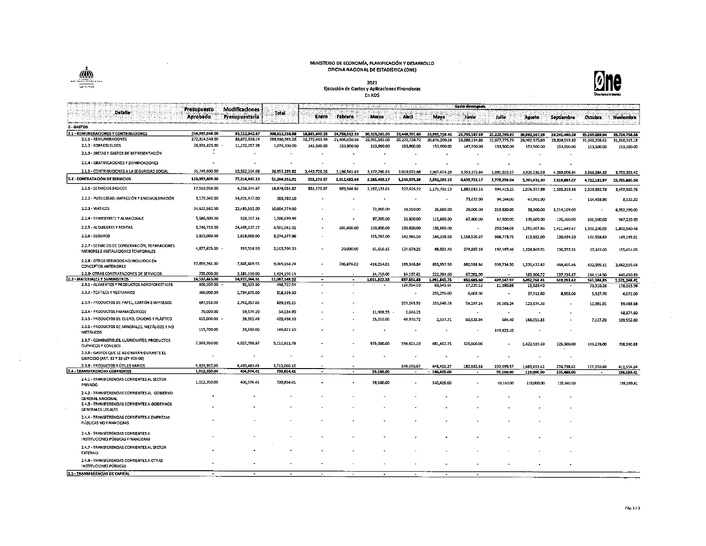## MINISTERIO DE ECONOMÍA, PLANIFICACIÓN Y DESARROLLO OFICINA NACIONAL DE ESTADISTICA (ONE)

 $\sim$ 



 $\sim$ 

 $\sim$   $\sim$ 

 $\sim$ 

## 2021<br>Ejecución de Gastos y Aplicaciones Financieras<br>En RD\$



|                                                                                       | Presupuesto                 | Modificaciones               |                             |                       |                |               |                 |                     | Gasto devengado          | tres art                 |                |               |                 |                  |
|---------------------------------------------------------------------------------------|-----------------------------|------------------------------|-----------------------------|-----------------------|----------------|---------------|-----------------|---------------------|--------------------------|--------------------------|----------------|---------------|-----------------|------------------|
| Detalle                                                                               | Aprobado                    | Presupuestaria               | Total                       | Enero                 | <b>Febrero</b> | Marzo         | Abril           | Mayo                | Jünio                    | Jistio                   | <b>Agosto</b>  | Septiembre    | Octubre         | Noviembre        |
| 2-GASTOS                                                                              |                             |                              |                             |                       |                |               |                 |                     |                          |                          |                |               |                 |                  |
| 2.1 - REMUNERACIONES Y CONTRIBUCIONES                                                 | 334,995,968.00              | 83,112,942.87                | 308, 512, 558, 88           | 18,861,690.25         | 24.756.512.55  | 30.323.251.03 | 23.448.701.60   | 23, 395, 758, 45    | 26,790,187.69            | 25,222,790.95            | 30,982,367.28  | 33,241,460.56 | 35.265.089.94   | 35.724.738.58    |
| 2.1.1 - REMUNERACIONES                                                                | 272,314,543.00              | 83.672,936.14                | 269,980,965.26              | 16,272,463.99         | 21,406,050.66  | 26,991,581.00 | 20, 275, 728.72 | 20,876,200.16       | 23,289,114.85            | 22,077,775.78            | 26,902,575.69  | 28,824,953.62 | 31,246,205.61   | 31, 818, 315, 18 |
| 2.1.2 - SOBRESUELDOS                                                                  | 26,931,825.00               | 11,122,257.95                | 1,676,300.00                | 145,500.00            | 153,900.00     | 153,900.00    | 153,900.00      | 153,900.00          | 147,700.00               | 153,500.00               | 153,500.00     | 153,500.00    | 153.500.00      | 153,500.00       |
| 2.1.3 - DIETAS Y GASTOS DE REPRESENTACIÓN                                             |                             | $\overline{a}$               | $\hat{\phantom{a}}$         |                       |                |               | $\blacksquare$  |                     |                          |                          |                |               |                 |                  |
| 2.1.4 - GRATIFICACIONES Y BONIFICACIONES                                              |                             |                              |                             |                       |                |               |                 |                     |                          |                          |                |               |                 |                  |
| 2.1.5 - CONTRIBUCIONES A LA SEGURIDAD SOCIAL                                          | 35,749,600.00               | 10,562,264.68                | 36,955,293.62               | 2,443,726.26          | 3,196,561.89   | 3,177,780.03  | 3,019,072.88    | 2.965.658.29        | 3.353.372.84             | 2,991,515.17             | 3,926,291.59   | 4,263,006.94  | 3, 865, 384, 33 | 3,752,923.40     |
| Z.Z - CONTRATACIÓN DE SERVICIOS                                                       | 110,997,609.00              | 77,214,941.13                | 51,208,262.01               | 551,173.07            | 2.012.422.66   | 3.285.455.17  | 1,249,075.39    | 2.52.283.13         | 4,439,722.17             | 3,778,259.04             | 5,201,921.30   | 7,619,887.07  | 4,722,182.97    | 15.795,880.04    |
| 2.2.1 - SERVICIOS BÁSICOS                                                             | 17,510,968.00               | 4,158,344.67                 | 16,676,051.87               | 551,173.07            | 983,946.64     | 2.157.133.01  | 527, 526.22     | 1,175,781.13        | 1,887,083.16             | 994,415.25               | 1.076.077.99   | 1,535,319.86  | 2,329.932.78    | 3,457,562.76     |
| 2.2.2 - PUBLICIDAD, IMPRESIÓN Y ENCUADERNACIÓN                                        | 3,179,340.00                | 14,421,937,00                | 388,783.10                  |                       |                | $\sim$        |                 |                     | 73,632.00                | 94,164,00                | 47,993.90      |               | 164 459.90      | 8,533.30         |
| 2.2.3 - VIÁTICOS                                                                      | 34,622,982.00               | 22,485,552.00                | 10,004,279.00               |                       |                | 72,000.00     | 38.550.00       | 26,600.00           | 29,000.00                | 213,630.00               | 58,000.00      | 3,214,109.00  |                 | 6,352,390.00     |
| 2.2.4 - TRANSPORTE Y ALMACENAIE                                                       | 5,686,600.00                | 528,367.14                   | 1,706,699.99                |                       |                | 97,200.00     | 51,500.00       | 111,600.00          | 67,800.00                | 67,500.00                | 135,600.00     | 126,360.00    | 101.500.00      | 947,239.99       |
| 2.2.5 - ALQUILERES Y RENTAS                                                           | 3,740,733.00                | 24,495,137.27                | 6,501,041.92                |                       | 301,600.00     | 150,800.00    | 150,800.00      | 150,800.00          |                          | 250,244.08               | 1,251,407.86   | 1,411,649.47  | 1,031,200.05    | 1,802,540.46     |
| 2.2.6 - SEGUROS                                                                       | 2,815,000.00                | 1,615,000.00                 | 3,274,377.96                |                       |                | 315,742.00    | 142,965.50      | 144,338.50          | 1,159,520.07             | 966,773.75               | 113,852.00     | 120,434.50    | 161.558.63      | 149,193.01       |
| 2.2.7 - SERVICIOS DE CONSERVACIÓN, REPARACIONES<br>MENORES E INSTALACIONES TEMPORALES | 4,877,625.00 -              | 337,316.50                   | 2,163,709.30                |                       | 20,000.00      | 61, 616.15    | 124,079.22      | 66,821.40           | 274,897.10               | 192,497,46               | 1,124,649.01   | 106,373.91    | 37.322.00       | 155.453.05       |
| 2.2.8 - OTROS SERVICIOS NO INCLUIDOS EN<br><b>CONCEPTOS ANTERIORES</b>                | 37,859,361.00               | 7,865,809.55                 | 9,069,168.74                |                       | 706 876 02     | 416 214.01    | 199.346.84      | 653,957.50          | 880,568.84               | 998.734.50               | 1,230,433.82   | 863,405,46    | 632 095.11      | 2,482,516.64     |
| 2.2.9- OTRAS CONTRATACIONES DE SERVICIOS                                              | 705,000.00                  | 2,381,110.00                 | 1,424,150.13                |                       |                | 14,750.00     | 14,107.61       | 222,384.60          | 67,201.00                |                          | 163,906.72     | 237.234.87    | 264.114.50      | 440.450.83       |
| <b>2.3 - MATERIALES Y SUMINISTROS</b><br>2.3.1 - ALIMENTOS Y PRODUCTOS AGROFORESTALES | 14,537,463.00<br>900,500.00 | 14,937,364.61<br>91,123.60   | 11,097,149.02<br>498,722.54 | $\tilde{\phantom{a}}$ | $\bullet_2$    | 1.011.922.53  | 857,851.86      | 1.391.845.75        | 650,685.60               | 439,147.97               | 3,452,768.41   | 610,293.62    | 561 384 85      | 1,521, 248, 41   |
| 2.3.2 - TEXTILES Y VESTUARIOS                                                         | 350,000.00                  |                              |                             |                       |                |               | 126,054.10      | 69,546.64           | 17,225.52                | 21,380.66                | 15,889.40      |               | 70,310.26       | 178,315.96       |
| 2.3.3 - PRODUCTOS DE PAPEL, CARTÓN E IMPRESOS                                         | 647,916.00                  | 1,734,675.00<br>2,742,353.05 | 318,169.30<br>829,192.15    |                       |                |               | 205, 245.52     | 256,296.00          | 6,608.00                 | $\overline{\phantom{a}}$ | 37,311.60      | 8,555.00      | 5,327.70        | 4,071.00         |
|                                                                                       |                             |                              |                             |                       |                |               |                 | 333,640.28          | 58,287.16                | 36,565.24                | 123,874.36     |               | 12.091.01       | 59,488.58        |
| 2.3.4 - PRODUCTOS FARMACÉUTICOS                                                       | 70,000.00                   | 59,574.20                    | 54,134.90                   |                       |                | 11,906.55     | 6,646.25        |                     |                          |                          |                |               |                 | 48,374.60        |
| 2.3.5 - PRODUCTOS DE CUERO, CAUCHO Y PLASTICO                                         | 615,000.00 -                | 26,312.46                    | 423,436.10                  |                       |                | 25,016.00     | 48,930.72       | 2,537.71            | 60,631.94                | 634.40                   | 168,955.33     |               | 7 127 20        | 109.552.00       |
| 2.3.6 - PRODUCTOS DE MINERALES, METÁLICOS Y NO<br>METÁLICOS                           | 115,700.00                  | 39,910.00                    | 149,822.10                  |                       |                |               |                 | $\hat{\phantom{a}}$ |                          | 149,822.10               |                |               |                 |                  |
| 2.3.7 - COMBUSTIBLES, LUBRICANTES, PRODUCTOS<br><b>QUÍMICOS Y CONEXOS</b>             | 7,003,350.00                | 4,027,798.97                 | 5,111,611,78                |                       |                | 975,000.00    | 334, 511.10     | 681,412.75          | 325,000.00               |                          | 1,422,919.30   | 325,000.00    | 339,278.00      | 708,390.63       |
| 2.3.8 - GASTOS QUE SE ASIGNARÁN DURANTE EL<br>EJERCICIO (ART. 32 Y 33 LEY 423-06)     |                             |                              |                             |                       |                |               | $\cdot$         |                     | $\overline{\phantom{a}}$ |                          | $\blacksquare$ | <b>.</b>      |                 |                  |
| 2.3.9 - PRODUCTOS Y UTILES VARIOS                                                     | 4,824,997.00                | 6.450,489.45                 | 3,712,060.15                |                       |                |               | 149,656.67      | 648.412.37          | 182.932.98               | 230,695.57               | 1,683,818.42   | 276,738.62    | 127,250.68      | 412,554,84       |
| 2.4 - TRANSFERENCIAS CORRIENTES                                                       | 1,012,350.00                | 406.974.41                   | 709.814.41                  |                       |                | 59,160.00     | $\sim$          | 140,415.00          | $\overline{\phantom{a}}$ | 59,160,00                | 119,000.00     | 135,480.00    | $\bullet$       | 196,599.41       |
| 2.4.1 - TRANSFERENCIAS CORRIENTES AL SECTOR<br>PRIVADO                                | 1,012,350.00                | 405,974.41                   | 709,814.41                  |                       |                | 59,160.00     |                 | 140,415.00          |                          | 59,160.00                | 119,000.00     | 135,480.00    |                 | 195,599.41       |
| 2.4.2 - TRANSFÉRENCIAS CORRIENTES AL GOBIERNO<br><b>GENERAL NACIONAL</b>              |                             |                              |                             |                       |                |               |                 |                     |                          |                          |                |               |                 |                  |
| 2.4.3 - TRANSFERENCIAS CORRIENTES A GOBIERNOS<br>GENERALES LOCALES                    |                             |                              |                             |                       |                |               |                 |                     |                          |                          |                |               |                 |                  |
| 2.4.4 - TRANSFERENCIAS CORRIENTES A EMPRESAS<br>PÚBLICAS NO FINANCIERAS               |                             |                              |                             |                       |                |               |                 |                     |                          |                          |                |               |                 |                  |
|                                                                                       |                             |                              |                             |                       |                |               |                 |                     |                          |                          |                |               |                 |                  |
| 2.4.5 - TRANSFERENCIAS CORRIENTES A<br>INSTITUCIONES PÚBLICAS FINANCIERAS             |                             |                              |                             |                       |                |               |                 |                     |                          |                          |                |               |                 |                  |
| 2.4.7 - TRANSFERENCIAS CORRIENTES AL SECTOR<br><b>EXTERNO</b>                         |                             |                              |                             |                       |                |               |                 |                     |                          |                          |                |               |                 |                  |
| 2.4.9 - TRANSFERENCIAS CORRIENTES A OTRAS<br>INSTITUCIONES PÚBLICAS                   |                             |                              |                             |                       |                |               |                 |                     |                          |                          |                |               |                 |                  |
| 2.5 - TRANSFERENCIAS DE CAPITAL                                                       |                             |                              |                             |                       |                |               |                 |                     |                          |                          |                |               |                 |                  |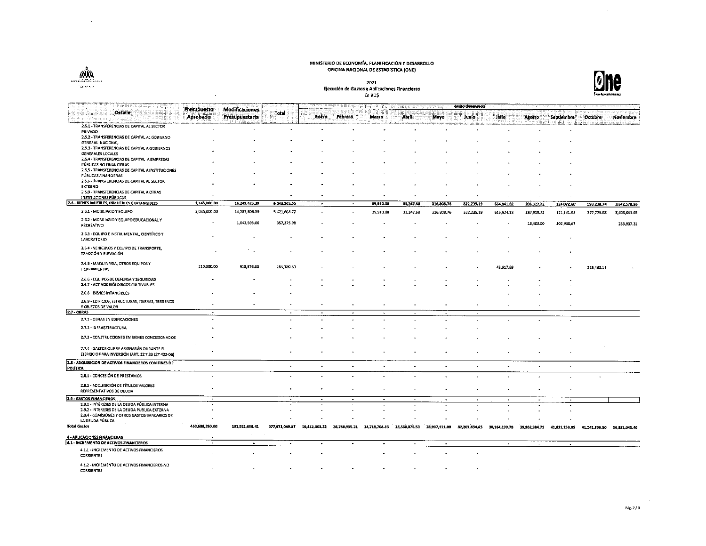## MINISTERIO DE ECONOMÍA, PLANIFICACIÓN Y DESARROLLO OFICINA NACIONAL DE ESTADISTICA (ONE)



 $\sim$ 

 $\sim$ 

## ZO21<br>Ejecución de Gastos y Aplicaciones Financieras<br>En RD\$



 $\sim$ 

|                                                                              | Presupuesto    |                                          |                          |              |           |                       |                                                                       |                | Gasto devengado          |                             |            |                                                         |             |                  |
|------------------------------------------------------------------------------|----------------|------------------------------------------|--------------------------|--------------|-----------|-----------------------|-----------------------------------------------------------------------|----------------|--------------------------|-----------------------------|------------|---------------------------------------------------------|-------------|------------------|
| Detaile<br><b>SHELLRO</b>                                                    | Aprobado       | <b>Modificaciones</b><br>Prestipuestaria | Total                    | <b>Enero</b> | Febrero   | Marzo                 | Abril                                                                 | Mayo           | Junio                    | Tullo                       | Arasto     | Septiembre                                              | Octubre     | <b>Noviembre</b> |
| 2.5.1 - TRANSFERENCIAS DE CAPITAL AL SECTOR                                  |                |                                          |                          |              |           |                       |                                                                       |                |                          |                             |            |                                                         |             |                  |
| PRIVADO                                                                      |                |                                          |                          |              |           |                       |                                                                       |                |                          |                             |            |                                                         |             |                  |
| 2.5.2 - TRANSFERENCIAS DE CAPITAL AL GOBIERNO                                |                |                                          |                          |              |           |                       |                                                                       |                |                          |                             |            |                                                         |             |                  |
| GENERAL NACIONAL                                                             |                |                                          |                          |              |           |                       |                                                                       |                |                          |                             |            |                                                         |             |                  |
| 2.5.3 - TRANSFERENCIAS DE CAPITAL A GOBIERNOS                                |                |                                          |                          |              |           |                       |                                                                       |                |                          |                             |            |                                                         |             |                  |
| GENERALES LOCALES                                                            |                |                                          |                          |              |           |                       |                                                                       |                |                          |                             |            |                                                         |             |                  |
| 2.5.4 - TRANSFERENCIAS DE CAPITAL A EMPRESAS                                 |                |                                          |                          |              |           |                       |                                                                       |                |                          |                             |            |                                                         |             |                  |
| PÚBLICAS NO FINANCIERAS<br>2.5.5 - TRANSFERENCIAS DE CAPITAL A INSTITUCIONES |                |                                          |                          |              |           |                       |                                                                       |                |                          |                             |            |                                                         |             |                  |
| PÚBLICAS FINANCIERAS                                                         |                |                                          |                          |              |           |                       |                                                                       |                |                          |                             |            |                                                         |             |                  |
| 2.5.6 - TRANSFERENCIAS DE CAPITAL AL SECTOR                                  |                |                                          |                          |              |           |                       |                                                                       |                |                          |                             |            |                                                         |             |                  |
| <b>EXTERNO</b>                                                               |                |                                          |                          |              |           |                       |                                                                       |                |                          |                             |            |                                                         |             |                  |
| 2.5.9 - TRANSFERENCIAS DE CAPITAL A OTRAS                                    |                |                                          |                          |              |           |                       |                                                                       |                |                          |                             |            |                                                         |             |                  |
| INSTITUCIONES PÚBLICAS                                                       |                |                                          |                          |              |           |                       |                                                                       |                |                          |                             |            |                                                         |             |                  |
| 2.6 - BIENES MUEBLES, INMUEBLES E INTANGIBLES                                | 2,145,000.00   | 16,249,475.39                            | 6,043,265.55             |              | $\bullet$ | 39,910.08             | 33,247.62                                                             | 316,808.75     | 322,239.19               | 664,841.82                  | 206,327.72 | 224.072.60                                              | 593,238.74  | 3.642,578.96     |
| 2.6.1 - MOBILIARIO Y EQUIPO                                                  | 2,035,000,00   | 14,287,306.39                            | 5,421,608.77             |              |           | 39,910.08             | 33, 247.68                                                            | 316, 508.76    | 322,239.19               | 615,924.13                  | 187,919.72 | 121,141.93                                              | 377,775.63  | 3,406,641.65     |
| 2.6.2 - MOBILIARIO Y EQUIPO EDUCACIONAL Y                                    |                | 1,043,593.00                             | 357,275.98               |              |           |                       |                                                                       |                |                          |                             |            |                                                         |             |                  |
| RECREATIVO                                                                   |                |                                          |                          |              |           |                       |                                                                       |                |                          |                             | 13,403.00  | 102,930,67                                              |             | 235,937.31       |
| 2.6.3 - EQUIPO E INSTRUMENTAL, CIENTÍFICO Y                                  |                |                                          |                          |              |           |                       |                                                                       |                |                          |                             |            |                                                         |             |                  |
| LABORATORIO                                                                  |                |                                          |                          |              |           |                       |                                                                       |                |                          |                             |            |                                                         |             |                  |
| 2.6.4 - VEHÍCULOS Y EQUIPO DE TRANSPORTE.<br>TRACCIÓN Y ELEVACIÓN            |                |                                          |                          |              |           |                       |                                                                       |                |                          |                             |            |                                                         |             |                  |
| 2.6.5 - MAQUINARIA, OTROS EQUIPOS Y                                          |                |                                          |                          |              |           |                       |                                                                       |                |                          |                             |            |                                                         |             |                  |
| HERRAMIENTAS                                                                 | 110,000,00     | 918,576.00                               | 264,380.80               |              |           |                       |                                                                       |                |                          | 48,917.69                   |            |                                                         | 215, 463.11 |                  |
| 2.6.6 - EQUIPOS DE DEFENSA Y SEGURIDAD                                       |                |                                          |                          |              |           |                       |                                                                       |                |                          |                             |            |                                                         |             |                  |
| 2.6.7 - ACTIVOS BIOLOGICOS CULTIVABLES                                       |                |                                          |                          |              |           |                       |                                                                       |                |                          |                             |            |                                                         |             |                  |
| 2.6.8 - BIENES INTANGIBLES                                                   |                |                                          |                          |              |           |                       |                                                                       |                |                          |                             |            |                                                         |             |                  |
| 2.6.9 - EDIFICIOS, ESTRUCTURAS, TIERRAS, TERRENOS<br>Y OBJETOS DE VALOR      |                |                                          |                          |              |           |                       |                                                                       |                |                          |                             |            |                                                         |             |                  |
| 2.7 - OBRAS                                                                  | $\blacksquare$ |                                          | $\sim$                   | $\sim$       | $\sim$    | $\sim$                | $\sim$                                                                | $\blacksquare$ | $\overline{\phantom{a}}$ |                             |            |                                                         |             |                  |
| 2.7.1 - OBRAS EN EDIFICACIONES                                               |                |                                          |                          |              |           |                       |                                                                       |                |                          |                             |            |                                                         |             |                  |
| 2.7.2 - INFRAESTRUCTURA                                                      |                |                                          |                          |              |           |                       |                                                                       |                |                          |                             |            |                                                         |             |                  |
|                                                                              |                |                                          |                          |              |           |                       |                                                                       |                |                          |                             |            |                                                         |             |                  |
| 2.7.3 - CONSTRUCCIONES EN BIENES CONCESIONADOS                               |                |                                          |                          |              |           |                       |                                                                       |                |                          |                             |            |                                                         |             |                  |
| 2.7.4 - GASTOS QUE 5E ASIGNARÁN DURANTE EL                                   |                |                                          |                          |              |           |                       |                                                                       |                |                          |                             |            |                                                         |             |                  |
| EJERCICIO PARA INVERSIÓN (ART. 32 Y 33 LEY 423-06)                           |                |                                          |                          |              |           |                       |                                                                       |                |                          |                             |            |                                                         |             |                  |
| 2.8 - ADQUISICION DE ACTIVOS FINANCIEROS CON FINES DE<br><b>POLÍTICA</b>     |                |                                          | $\bullet$                | $\bullet$    | $\sim$    | $\bullet$             | $\bullet$                                                             | ٠              | $\overline{\phantom{a}}$ | $\hat{\phantom{a}}$         | $\bullet$  | $\bullet$                                               |             |                  |
| 2.8.1 - CONCESIÓN DE PRESTAMOS                                               |                |                                          |                          |              |           |                       |                                                                       |                |                          |                             |            |                                                         |             |                  |
| 2.8.2 - ADQUISICIÓN DE TÍTULOS VALORES<br>REPRESENTATIVOS DE DEUDA           |                |                                          |                          |              |           |                       |                                                                       |                |                          |                             |            |                                                         |             |                  |
| <b>2.9 - GASTOS FINANCIEROS</b>                                              | $\bullet$      |                                          | $\overline{\phantom{a}}$ | $\bullet$    | $\bullet$ | $\mathbf{r}$          | $\Delta$                                                              | ٠              | $\bullet$                | $\bullet$                   |            |                                                         |             |                  |
| 2.9.1 - INTERESES DE LA DEUDA PÚBLICA INTERNA                                |                |                                          |                          |              |           |                       |                                                                       |                |                          |                             |            |                                                         |             |                  |
| 2.9.2 - INTERESES DE LA DEUDA PUBLICA EXTERNA                                |                |                                          |                          |              |           |                       |                                                                       |                |                          |                             |            |                                                         |             |                  |
| 2.9.4 - COMISIONES Y OTROS GASTOS BANCARIOS DE                               |                |                                          |                          |              |           |                       |                                                                       |                |                          |                             |            |                                                         |             |                  |
| LA DEUDA PÚBLICA                                                             |                |                                          |                          |              |           |                       |                                                                       |                |                          |                             |            |                                                         |             |                  |
| <b>Total Gastos</b>                                                          | 463,688,390.00 | 191,921,698.41                           | 377,671,049.87           |              |           |                       | 19,412,863.32 26,768,935.21 34,719,708.83 25,588,876.53 28,997,111.09 |                |                          | 32,202,834.65 30,164,199.78 |            | 39,962,384.71 42,831,193.85 41,141,896.50 56,881,045.40 |             |                  |
| <b>4 - APLICACIONES FINANCIERAS</b>                                          |                |                                          |                          |              |           |                       |                                                                       |                |                          |                             |            |                                                         |             |                  |
| 4.1 - INCREMENTO DE ACTIVOS FINANCIEROS                                      |                | $\blacksquare$                           | $\sim$                   | $\bullet$    | $\bullet$ | $\tilde{\phantom{a}}$ |                                                                       | $\bullet$      |                          | $\bullet$                   | $\sim$     | $\bullet$                                               |             |                  |
|                                                                              |                |                                          |                          |              |           |                       |                                                                       |                |                          |                             |            |                                                         |             |                  |
| 4.1.1 - INCREMENTO DE ACTIVOS FINANCIEROS<br><b>CORRIENTES</b>               |                |                                          |                          |              |           |                       |                                                                       |                |                          |                             |            |                                                         |             |                  |
| 4.1.2 - INCREMENTO DE ACTIVOS FINANCIEROS NO<br><b>CORRIENTES</b>            |                |                                          |                          |              |           |                       |                                                                       |                |                          |                             |            |                                                         |             |                  |

 $\sim 10^{-1}$